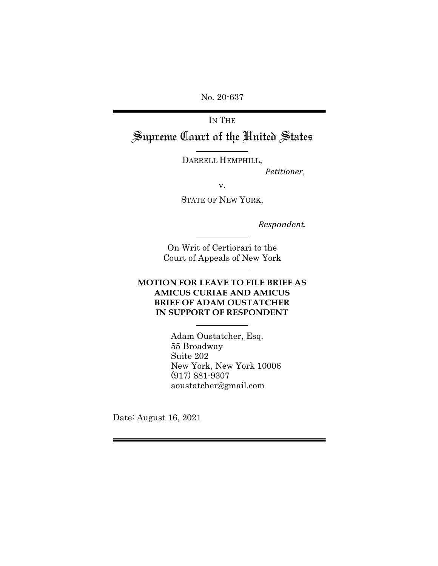No. 20-637

#### IN THE

Supreme Court of the United States

DARRELL HEMPHILL,

*Petitioner*,

v.

STATE OF NEW YORK,

*Respondent.*

On Writ of Certiorari to the Court of Appeals of New York

### **MOTION FOR LEAVE TO FILE BRIEF AS AMICUS CURIAE AND AMICUS BRIEF OF ADAM OUSTATCHER IN SUPPORT OF RESPONDENT**

Adam Oustatcher, Esq. 55 Broadway Suite 202 New York, New York 10006 (917) 881-9307 aoustatcher@gmail.com

Date: August 16, 2021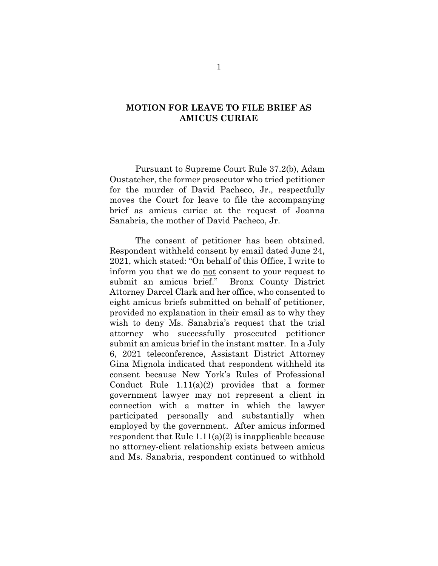### **MOTION FOR LEAVE TO FILE BRIEF AS AMICUS CURIAE**

Pursuant to Supreme Court Rule 37.2(b), Adam Oustatcher, the former prosecutor who tried petitioner for the murder of David Pacheco, Jr., respectfully moves the Court for leave to file the accompanying brief as amicus curiae at the request of Joanna Sanabria, the mother of David Pacheco, Jr.

The consent of petitioner has been obtained. Respondent withheld consent by email dated June 24, 2021, which stated: "On behalf of this Office, I write to inform you that we do not consent to your request to submit an amicus brief." Bronx County District Attorney Darcel Clark and her office, who consented to eight amicus briefs submitted on behalf of petitioner, provided no explanation in their email as to why they wish to deny Ms. Sanabria's request that the trial attorney who successfully prosecuted petitioner submit an amicus brief in the instant matter. In a July 6, 2021 teleconference, Assistant District Attorney Gina Mignola indicated that respondent withheld its consent because New York's Rules of Professional Conduct Rule 1.11(a)(2) provides that a former government lawyer may not represent a client in connection with a matter in which the lawyer participated personally and substantially when employed by the government. After amicus informed respondent that Rule  $1.11(a)(2)$  is inapplicable because no attorney-client relationship exists between amicus and Ms. Sanabria, respondent continued to withhold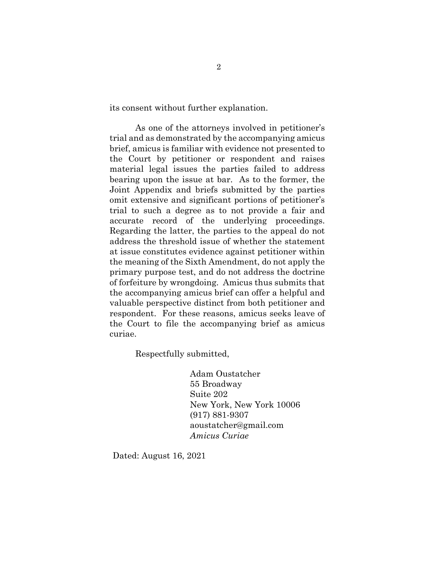its consent without further explanation.

As one of the attorneys involved in petitioner's trial and as demonstrated by the accompanying amicus brief, amicus is familiar with evidence not presented to the Court by petitioner or respondent and raises material legal issues the parties failed to address bearing upon the issue at bar. As to the former, the Joint Appendix and briefs submitted by the parties omit extensive and significant portions of petitioner's trial to such a degree as to not provide a fair and accurate record of the underlying proceedings. Regarding the latter, the parties to the appeal do not address the threshold issue of whether the statement at issue constitutes evidence against petitioner within the meaning of the Sixth Amendment, do not apply the primary purpose test, and do not address the doctrine of forfeiture by wrongdoing. Amicus thus submits that the accompanying amicus brief can offer a helpful and valuable perspective distinct from both petitioner and respondent. For these reasons, amicus seeks leave of the Court to file the accompanying brief as amicus curiae.

Respectfully submitted,

Adam Oustatcher 55 Broadway Suite 202 New York, New York 10006 (917) 881-9307 [aoustatcher@gmail.com](mailto:aoustatcher@gmail.com) *Amicus Curiae*

Dated: August 16, 2021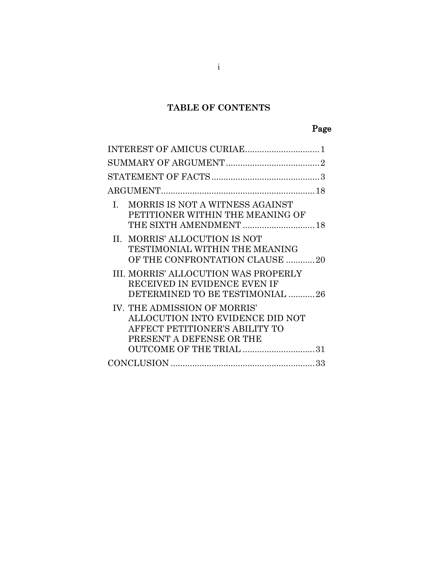# **TABLE OF CONTENTS**

#### **Page 2018**  $\sim$  Page 30  $\sim$  Page

| MORRIS IS NOT A WITNESS AGAINST<br>L.<br>PETITIONER WITHIN THE MEANING OF<br>THE SIXTH AMENDMENT  18                                                      |
|-----------------------------------------------------------------------------------------------------------------------------------------------------------|
| II. MORRIS' ALLOCUTION IS NOT<br>TESTIMONIAL WITHIN THE MEANING<br>OF THE CONFRONTATION CLAUSE 20                                                         |
| III. MORRIS' ALLOCUTION WAS PROPERLY<br>RECEIVED IN EVIDENCE EVEN IF<br>DETERMINED TO BE TESTIMONIAL 26                                                   |
| IV. THE ADMISSION OF MORRIS'<br>ALLOCUTION INTO EVIDENCE DID NOT<br>AFFECT PETITIONER'S ABILITY TO<br>PRESENT A DEFENSE OR THE<br>OUTCOME OF THE TRIAL 31 |
|                                                                                                                                                           |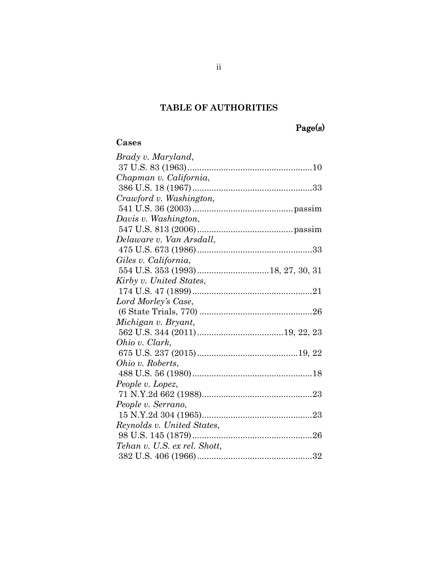# **TABLE OF AUTHORITIES**

# Page(s)

## **Cases**

| People v. Lopez,<br>Reynolds v. United States,<br>Tehan v. U.S. ex rel. Shott, | Brady v. Maryland,       |
|--------------------------------------------------------------------------------|--------------------------|
|                                                                                |                          |
|                                                                                | Chapman v. California,   |
|                                                                                |                          |
|                                                                                | Crawford v. Washington,  |
|                                                                                |                          |
|                                                                                | Davis v. Washington,     |
|                                                                                |                          |
|                                                                                | Delaware v. Van Arsdall, |
|                                                                                |                          |
|                                                                                | Giles v. California,     |
|                                                                                |                          |
|                                                                                | Kirby v. United States,  |
|                                                                                |                          |
|                                                                                | Lord Morley's Case,      |
|                                                                                |                          |
|                                                                                | Michigan v. Bryant,      |
|                                                                                |                          |
|                                                                                | Ohio v. Clark,           |
|                                                                                |                          |
|                                                                                | Ohio v. Roberts,         |
|                                                                                |                          |
|                                                                                |                          |
|                                                                                |                          |
|                                                                                | People v. Serrano,       |
|                                                                                |                          |
|                                                                                |                          |
|                                                                                |                          |
|                                                                                |                          |
|                                                                                |                          |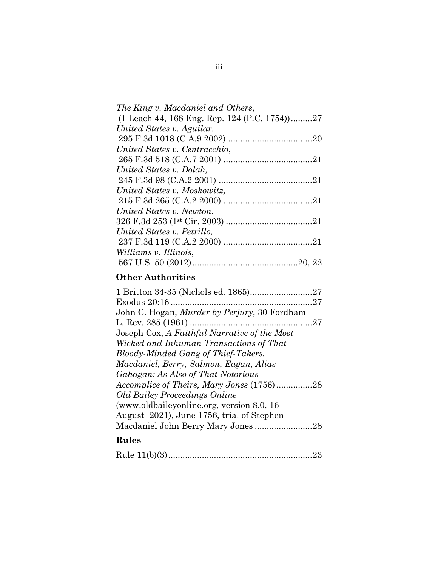| The King v. Macdaniel and Others,            |
|----------------------------------------------|
| (1 Leach 44, 168 Eng. Rep. 124 (P.C. 1754)27 |
| United States v. Aguilar,                    |
|                                              |
| United States v. Centracchio,                |
|                                              |
| United States v. Dolah,                      |
|                                              |
| United States v. Moskowitz,                  |
|                                              |
| United States v. Newton,                     |
|                                              |
| United States v. Petrillo,                   |
|                                              |
| Williams v. Illinois,                        |
|                                              |

# **Other Authorities**

| John C. Hogan, <i>Murder by Perjury</i> , 30 Fordham |  |
|------------------------------------------------------|--|
|                                                      |  |
| Joseph Cox, A Faithful Narrative of the Most         |  |
| Wicked and Inhuman Transactions of That              |  |
| Bloody-Minded Gang of Thief-Takers,                  |  |
| Macdaniel, Berry, Salmon, Eagan, Alias               |  |
| Gahagan: As Also of That Notorious                   |  |
| Accomplice of Theirs, Mary Jones (1756)28            |  |
| <b>Old Bailey Proceedings Online</b>                 |  |
| (www.oldbaileyonline.org, version 8.0, 16)           |  |
| August 2021), June 1756, trial of Stephen            |  |
|                                                      |  |
| Rules                                                |  |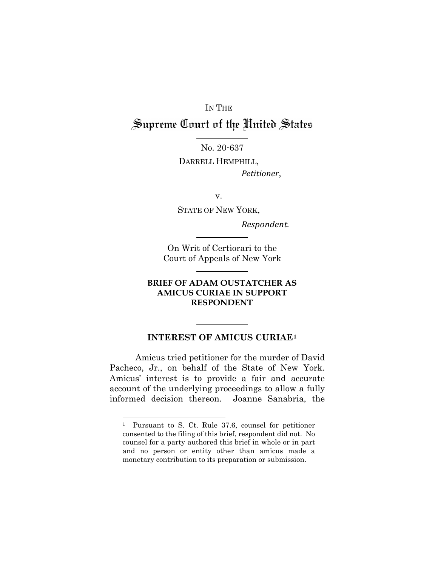# IN THE Supreme Court of the United States

No. 20-637

DARRELL HEMPHILL,  *Petitioner*,

v.

STATE OF NEW YORK,

*Respondent.*

On Writ of Certiorari to the Court of Appeals of New York

#### **BRIEF OF ADAM OUSTATCHER AS AMICUS CURIAE IN SUPPORT RESPONDENT**

#### <span id="page-6-0"></span>**INTEREST OF AMICUS CURIAE[1](#page-6-1)**

Amicus tried petitioner for the murder of David Pacheco, Jr., on behalf of the State of New York. Amicus' interest is to provide a fair and accurate account of the underlying proceedings to allow a fully informed decision thereon. Joanne Sanabria, the

<span id="page-6-1"></span><sup>1</sup> Pursuant to S. Ct. Rule 37.6, counsel for petitioner consented to the filing of this brief, respondent did not. No counsel for a party authored this brief in whole or in part and no person or entity other than amicus made a monetary contribution to its preparation or submission.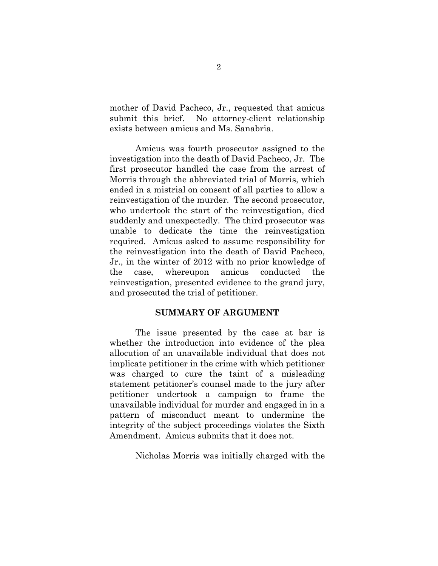mother of David Pacheco, Jr., requested that amicus submit this brief. No attorney-client relationship exists between amicus and Ms. Sanabria.

Amicus was fourth prosecutor assigned to the investigation into the death of David Pacheco, Jr. The first prosecutor handled the case from the arrest of Morris through the abbreviated trial of Morris, which ended in a mistrial on consent of all parties to allow a reinvestigation of the murder. The second prosecutor, who undertook the start of the reinvestigation, died suddenly and unexpectedly. The third prosecutor was unable to dedicate the time the reinvestigation required. Amicus asked to assume responsibility for the reinvestigation into the death of David Pacheco, Jr., in the winter of 2012 with no prior knowledge of the case, whereupon amicus conducted the reinvestigation, presented evidence to the grand jury, and prosecuted the trial of petitioner.

#### **SUMMARY OF ARGUMENT**

<span id="page-7-0"></span>The issue presented by the case at bar is whether the introduction into evidence of the plea allocution of an unavailable individual that does not implicate petitioner in the crime with which petitioner was charged to cure the taint of a misleading statement petitioner's counsel made to the jury after petitioner undertook a campaign to frame the unavailable individual for murder and engaged in in a pattern of misconduct meant to undermine the integrity of the subject proceedings violates the Sixth Amendment. Amicus submits that it does not.

Nicholas Morris was initially charged with the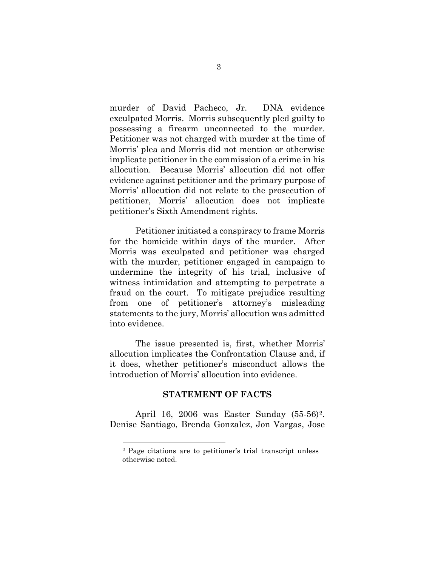murder of David Pacheco, Jr. DNA evidence exculpated Morris. Morris subsequently pled guilty to possessing a firearm unconnected to the murder. Petitioner was not charged with murder at the time of Morris' plea and Morris did not mention or otherwise implicate petitioner in the commission of a crime in his allocution. Because Morris' allocution did not offer evidence against petitioner and the primary purpose of Morris' allocution did not relate to the prosecution of petitioner, Morris' allocution does not implicate petitioner's Sixth Amendment rights.

Petitioner initiated a conspiracy to frame Morris for the homicide within days of the murder. After Morris was exculpated and petitioner was charged with the murder, petitioner engaged in campaign to undermine the integrity of his trial, inclusive of witness intimidation and attempting to perpetrate a fraud on the court. To mitigate prejudice resulting from one of petitioner's attorney's misleading statements to the jury, Morris' allocution was admitted into evidence.

The issue presented is, first, whether Morris' allocution implicates the Confrontation Clause and, if it does, whether petitioner's misconduct allows the introduction of Morris' allocution into evidence.

#### **STATEMENT OF FACTS**

<span id="page-8-1"></span><span id="page-8-0"></span>April 16, 2006 was Easter Sunday (55-56)[2.](#page-8-1) Denise Santiago, Brenda Gonzalez, Jon Vargas, Jose

<sup>2</sup> Page citations are to petitioner's trial transcript unless otherwise noted.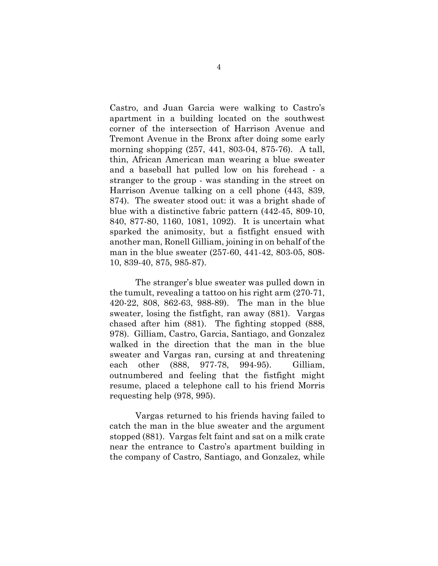Castro, and Juan Garcia were walking to Castro's apartment in a building located on the southwest corner of the intersection of Harrison Avenue and Tremont Avenue in the Bronx after doing some early morning shopping (257, 441, 803-04, 875-76). A tall, thin, African American man wearing a blue sweater and a baseball hat pulled low on his forehead - a stranger to the group - was standing in the street on Harrison Avenue talking on a cell phone (443, 839, 874). The sweater stood out: it was a bright shade of blue with a distinctive fabric pattern (442-45, 809-10, 840, 877-80, 1160, 1081, 1092). It is uncertain what sparked the animosity, but a fistfight ensued with another man, Ronell Gilliam, joining in on behalf of the man in the blue sweater (257-60, 441-42, 803-05, 808- 10, 839-40, 875, 985-87).

The stranger's blue sweater was pulled down in the tumult, revealing a tattoo on his right arm (270-71, 420-22, 808, 862-63, 988-89). The man in the blue sweater, losing the fistfight, ran away (881). Vargas chased after him (881). The fighting stopped (888, 978). Gilliam, Castro, Garcia, Santiago, and Gonzalez walked in the direction that the man in the blue sweater and Vargas ran, cursing at and threatening each other (888, 977-78, 994-95). Gilliam, outnumbered and feeling that the fistfight might resume, placed a telephone call to his friend Morris requesting help (978, 995).

Vargas returned to his friends having failed to catch the man in the blue sweater and the argument stopped (881). Vargas felt faint and sat on a milk crate near the entrance to Castro's apartment building in the company of Castro, Santiago, and Gonzalez, while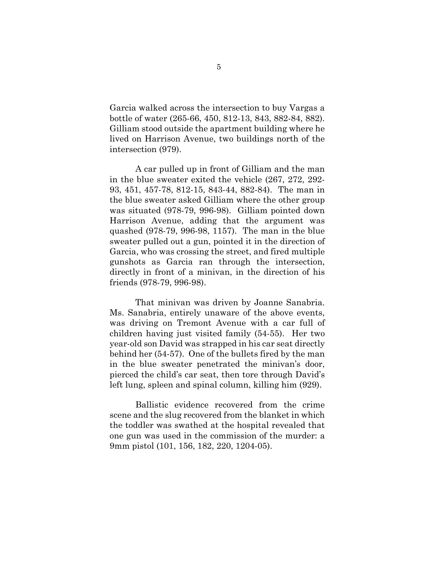Garcia walked across the intersection to buy Vargas a bottle of water (265-66, 450, 812-13, 843, 882-84, 882). Gilliam stood outside the apartment building where he lived on Harrison Avenue, two buildings north of the intersection (979).

A car pulled up in front of Gilliam and the man in the blue sweater exited the vehicle (267, 272, 292- 93, 451, 457-78, 812-15, 843-44, 882-84). The man in the blue sweater asked Gilliam where the other group was situated (978-79, 996-98). Gilliam pointed down Harrison Avenue, adding that the argument was quashed (978-79, 996-98, 1157). The man in the blue sweater pulled out a gun, pointed it in the direction of Garcia, who was crossing the street, and fired multiple gunshots as Garcia ran through the intersection, directly in front of a minivan, in the direction of his friends (978-79, 996-98).

That minivan was driven by Joanne Sanabria. Ms. Sanabria, entirely unaware of the above events, was driving on Tremont Avenue with a car full of children having just visited family (54-55). Her two year-old son David was strapped in his car seat directly behind her (54-57). One of the bullets fired by the man in the blue sweater penetrated the minivan's door, pierced the child's car seat, then tore through David's left lung, spleen and spinal column, killing him (929).

Ballistic evidence recovered from the crime scene and the slug recovered from the blanket in which the toddler was swathed at the hospital revealed that one gun was used in the commission of the murder: a 9mm pistol (101, 156, 182, 220, 1204-05).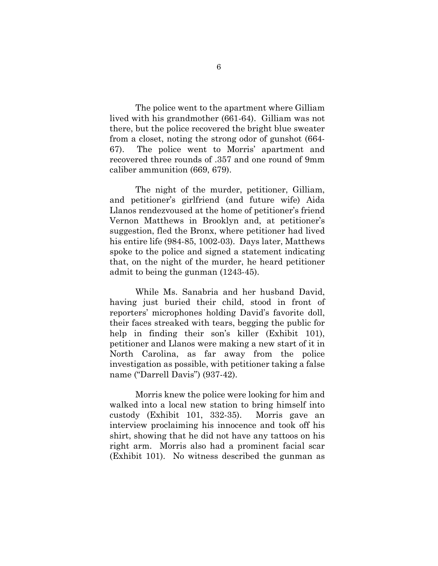The police went to the apartment where Gilliam lived with his grandmother (661-64). Gilliam was not there, but the police recovered the bright blue sweater from a closet, noting the strong odor of gunshot (664- 67). The police went to Morris' apartment and recovered three rounds of .357 and one round of 9mm caliber ammunition (669, 679).

The night of the murder, petitioner, Gilliam, and petitioner's girlfriend (and future wife) Aida Llanos rendezvoused at the home of petitioner's friend Vernon Matthews in Brooklyn and, at petitioner's suggestion, fled the Bronx, where petitioner had lived his entire life (984-85, 1002-03). Days later, Matthews spoke to the police and signed a statement indicating that, on the night of the murder, he heard petitioner admit to being the gunman (1243-45).

While Ms. Sanabria and her husband David, having just buried their child, stood in front of reporters' microphones holding David's favorite doll, their faces streaked with tears, begging the public for help in finding their son's killer (Exhibit 101), petitioner and Llanos were making a new start of it in North Carolina, as far away from the police investigation as possible, with petitioner taking a false name ("Darrell Davis") (937-42).

Morris knew the police were looking for him and walked into a local new station to bring himself into custody (Exhibit 101, 332-35). Morris gave an interview proclaiming his innocence and took off his shirt, showing that he did not have any tattoos on his right arm. Morris also had a prominent facial scar (Exhibit 101). No witness described the gunman as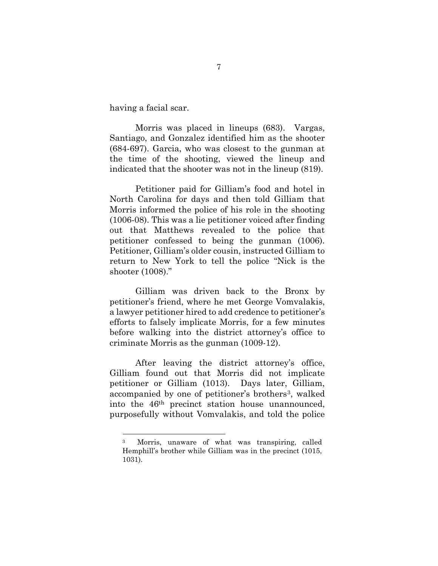having a facial scar.

-

Morris was placed in lineups (683). Vargas, Santiago, and Gonzalez identified him as the shooter (684-697). Garcia, who was closest to the gunman at the time of the shooting, viewed the lineup and indicated that the shooter was not in the lineup (819).

Petitioner paid for Gilliam's food and hotel in North Carolina for days and then told Gilliam that Morris informed the police of his role in the shooting (1006-08). This was a lie petitioner voiced after finding out that Matthews revealed to the police that petitioner confessed to being the gunman (1006). Petitioner, Gilliam's older cousin, instructed Gilliam to return to New York to tell the police "Nick is the shooter (1008)."

Gilliam was driven back to the Bronx by petitioner's friend, where he met George Vomvalakis, a lawyer petitioner hired to add credence to petitioner's efforts to falsely implicate Morris, for a few minutes before walking into the district attorney's office to criminate Morris as the gunman (1009-12).

After leaving the district attorney's office, Gilliam found out that Morris did not implicate petitioner or Gilliam (1013). Days later, Gilliam, accompanied by one of petitioner's brothers<sup>[3](#page-12-0)</sup>, walked into the 46th precinct station house unannounced, purposefully without Vomvalakis, and told the police

<span id="page-12-0"></span><sup>3</sup> Morris, unaware of what was transpiring, called Hemphill's brother while Gilliam was in the precinct (1015, 1031).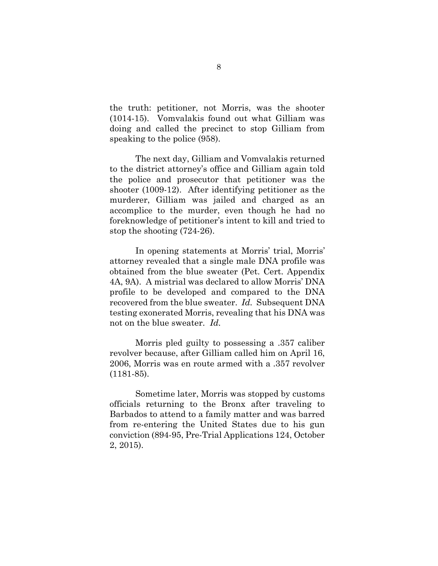the truth: petitioner, not Morris, was the shooter (1014-15). Vomvalakis found out what Gilliam was doing and called the precinct to stop Gilliam from speaking to the police (958).

The next day, Gilliam and Vomvalakis returned to the district attorney's office and Gilliam again told the police and prosecutor that petitioner was the shooter (1009-12). After identifying petitioner as the murderer, Gilliam was jailed and charged as an accomplice to the murder, even though he had no foreknowledge of petitioner's intent to kill and tried to stop the shooting (724-26).

In opening statements at Morris' trial, Morris' attorney revealed that a single male DNA profile was obtained from the blue sweater (Pet. Cert. Appendix 4A, 9A). A mistrial was declared to allow Morris' DNA profile to be developed and compared to the DNA recovered from the blue sweater. *Id.* Subsequent DNA testing exonerated Morris, revealing that his DNA was not on the blue sweater. *Id.*

Morris pled guilty to possessing a .357 caliber revolver because, after Gilliam called him on April 16, 2006, Morris was en route armed with a .357 revolver (1181-85).

Sometime later, Morris was stopped by customs officials returning to the Bronx after traveling to Barbados to attend to a family matter and was barred from re-entering the United States due to his gun conviction (894-95, Pre-Trial Applications 124, October 2, 2015).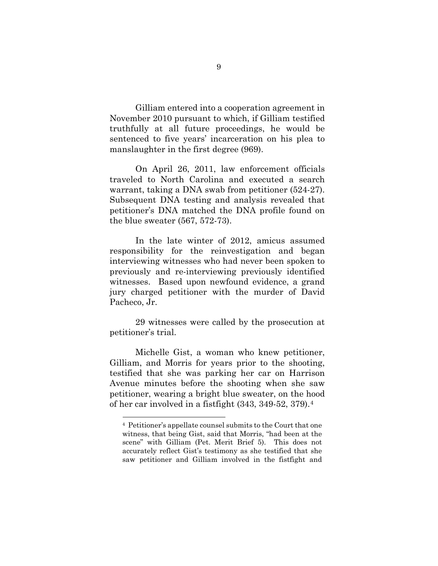Gilliam entered into a cooperation agreement in November 2010 pursuant to which, if Gilliam testified truthfully at all future proceedings, he would be sentenced to five years' incarceration on his plea to manslaughter in the first degree (969).

On April 26, 2011, law enforcement officials traveled to North Carolina and executed a search warrant, taking a DNA swab from petitioner (524-27). Subsequent DNA testing and analysis revealed that petitioner's DNA matched the DNA profile found on the blue sweater (567, 572-73).

In the late winter of 2012, amicus assumed responsibility for the reinvestigation and began interviewing witnesses who had never been spoken to previously and re-interviewing previously identified witnesses. Based upon newfound evidence, a grand jury charged petitioner with the murder of David Pacheco, Jr.

29 witnesses were called by the prosecution at petitioner's trial.

Michelle Gist, a woman who knew petitioner, Gilliam, and Morris for years prior to the shooting, testified that she was parking her car on Harrison Avenue minutes before the shooting when she saw petitioner, wearing a bright blue sweater, on the hood of her car involved in a fistfight (343, 349-52, 379).[4](#page-14-0)

<span id="page-14-0"></span><sup>4</sup> Petitioner's appellate counsel submits to the Court that one witness, that being Gist, said that Morris, "had been at the scene" with Gilliam (Pet. Merit Brief 5). This does not accurately reflect Gist's testimony as she testified that she saw petitioner and Gilliam involved in the fistfight and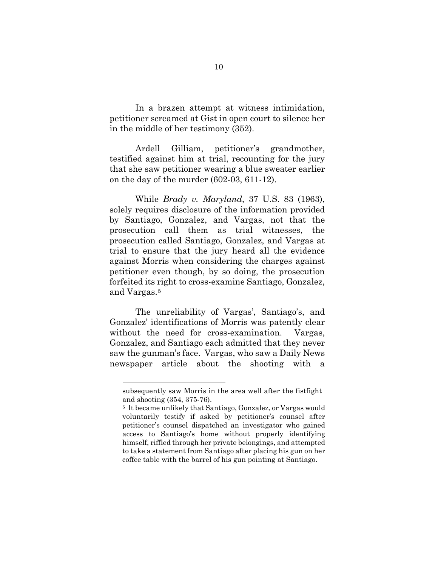In a brazen attempt at witness intimidation, petitioner screamed at Gist in open court to silence her in the middle of her testimony (352).

Ardell Gilliam, petitioner's grandmother, testified against him at trial, recounting for the jury that she saw petitioner wearing a blue sweater earlier on the day of the murder (602-03, 611-12).

While *Brady v. Maryland*, 37 U.S. 83 (1963), solely requires disclosure of the information provided by Santiago, Gonzalez, and Vargas, not that the prosecution call them as trial witnesses, the prosecution called Santiago, Gonzalez, and Vargas at trial to ensure that the jury heard all the evidence against Morris when considering the charges against petitioner even though, by so doing, the prosecution forfeited its right to cross-examine Santiago, Gonzalez, and Vargas.[5](#page-15-0)

The unreliability of Vargas', Santiago's, and Gonzalez' identifications of Morris was patently clear without the need for cross-examination. Vargas, Gonzalez, and Santiago each admitted that they never saw the gunman's face. Vargas, who saw a Daily News newspaper article about the shooting with a

subsequently saw Morris in the area well after the fistfight and shooting (354, 375-76).

<span id="page-15-0"></span><sup>5</sup> It became unlikely that Santiago, Gonzalez, or Vargas would voluntarily testify if asked by petitioner's counsel after petitioner's counsel dispatched an investigator who gained access to Santiago's home without properly identifying himself, riffled through her private belongings, and attempted to take a statement from Santiago after placing his gun on her coffee table with the barrel of his gun pointing at Santiago.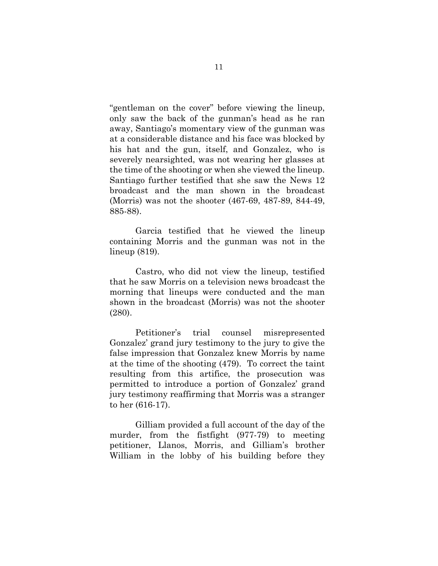"gentleman on the cover" before viewing the lineup, only saw the back of the gunman's head as he ran away, Santiago's momentary view of the gunman was at a considerable distance and his face was blocked by his hat and the gun, itself, and Gonzalez, who is severely nearsighted, was not wearing her glasses at the time of the shooting or when she viewed the lineup. Santiago further testified that she saw the News 12 broadcast and the man shown in the broadcast (Morris) was not the shooter (467-69, 487-89, 844-49, 885-88).

Garcia testified that he viewed the lineup containing Morris and the gunman was not in the lineup (819).

Castro, who did not view the lineup, testified that he saw Morris on a television news broadcast the morning that lineups were conducted and the man shown in the broadcast (Morris) was not the shooter (280).

Petitioner's trial counsel misrepresented Gonzalez' grand jury testimony to the jury to give the false impression that Gonzalez knew Morris by name at the time of the shooting (479). To correct the taint resulting from this artifice, the prosecution was permitted to introduce a portion of Gonzalez' grand jury testimony reaffirming that Morris was a stranger to her (616-17).

Gilliam provided a full account of the day of the murder, from the fistfight (977-79) to meeting petitioner, Llanos, Morris, and Gilliam's brother William in the lobby of his building before they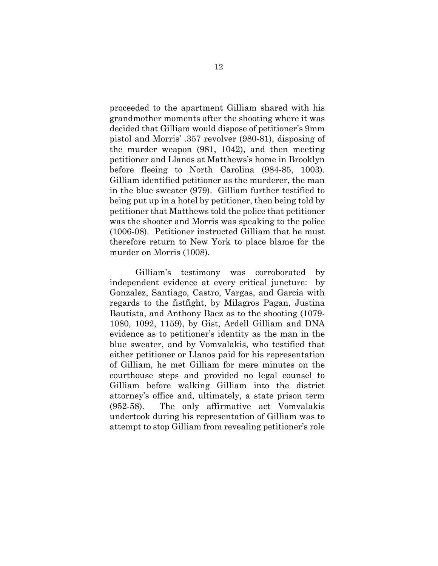proceeded to the apartment Gilliam shared with his grandmother moments after the shooting where it was decided that Gilliam would dispose of petitioner's 9mm pistol and Morris' .357 revolver (980-81), disposing of the murder weapon (981, 1042), and then meeting petitioner and Llanos at Matthews's home in Brooklyn before fleeing to North Carolina (984-85, 1003). Gilliam identified petitioner as the murderer, the man in the blue sweater (979). Gilliam further testified to being put up in a hotel by petitioner, then being told by petitioner that Matthews told the police that petitioner was the shooter and Morris was speaking to the police (1006-08). Petitioner instructed Gilliam that he must therefore return to New York to place blame for the murder on Morris (1008).

Gilliam's testimony was corroborated by independent evidence at every critical juncture: by Gonzalez, Santiago, Castro, Vargas, and Garcia with regards to the fistfight, by Milagros Pagan, Justina Bautista, and Anthony Baez as to the shooting (1079- 1080, 1092, 1159), by Gist, Ardell Gilliam and DNA evidence as to petitioner's identity as the man in the blue sweater, and by Vomvalakis, who testified that either petitioner or Llanos paid for his representation of Gilliam, he met Gilliam for mere minutes on the courthouse steps and provided no legal counsel to Gilliam before walking Gilliam into the district attorney's office and, ultimately, a state prison term (952-58). The only affirmative act Vomvalakis undertook during his representation of Gilliam was to attempt to stop Gilliam from revealing petitioner's role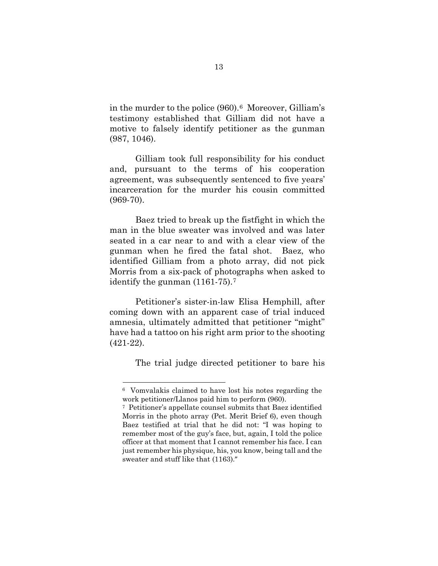in the murder to the police (960).[6](#page-18-0) Moreover, Gilliam's testimony established that Gilliam did not have a motive to falsely identify petitioner as the gunman (987, 1046).

Gilliam took full responsibility for his conduct and, pursuant to the terms of his cooperation agreement, was subsequently sentenced to five years' incarceration for the murder his cousin committed (969-70).

Baez tried to break up the fistfight in which the man in the blue sweater was involved and was later seated in a car near to and with a clear view of the gunman when he fired the fatal shot. Baez, who identified Gilliam from a photo array, did not pick Morris from a six-pack of photographs when asked to identify the gunman (1161-75).[7](#page-18-1)

Petitioner's sister-in-law Elisa Hemphill, after coming down with an apparent case of trial induced amnesia, ultimately admitted that petitioner "might" have had a tattoo on his right arm prior to the shooting (421-22).

The trial judge directed petitioner to bare his

<span id="page-18-0"></span><sup>6</sup> Vomvalakis claimed to have lost his notes regarding the work petitioner/Llanos paid him to perform (960).<br><sup>7</sup> Petitioner's appellate counsel submits that Baez identified

<span id="page-18-1"></span>Morris in the photo array (Pet. Merit Brief 6), even though Baez testified at trial that he did not: "I was hoping to remember most of the guy's face, but, again, I told the police officer at that moment that I cannot remember his face. I can just remember his physique, his, you know, being tall and the sweater and stuff like that (1163)."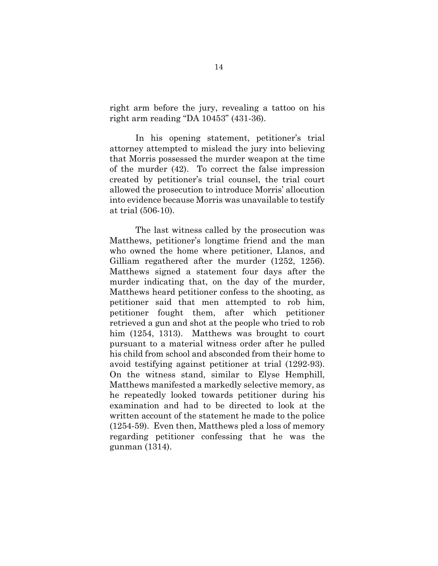right arm before the jury, revealing a tattoo on his right arm reading "DA 10453" (431-36).

In his opening statement, petitioner's trial attorney attempted to mislead the jury into believing that Morris possessed the murder weapon at the time of the murder (42). To correct the false impression created by petitioner's trial counsel, the trial court allowed the prosecution to introduce Morris' allocution into evidence because Morris was unavailable to testify at trial (506-10).

The last witness called by the prosecution was Matthews, petitioner's longtime friend and the man who owned the home where petitioner, Llanos, and Gilliam regathered after the murder (1252, 1256). Matthews signed a statement four days after the murder indicating that, on the day of the murder, Matthews heard petitioner confess to the shooting, as petitioner said that men attempted to rob him, petitioner fought them, after which petitioner retrieved a gun and shot at the people who tried to rob him (1254, 1313). Matthews was brought to court pursuant to a material witness order after he pulled his child from school and absconded from their home to avoid testifying against petitioner at trial (1292-93). On the witness stand, similar to Elyse Hemphill, Matthews manifested a markedly selective memory, as he repeatedly looked towards petitioner during his examination and had to be directed to look at the written account of the statement he made to the police (1254-59). Even then, Matthews pled a loss of memory regarding petitioner confessing that he was the gunman (1314).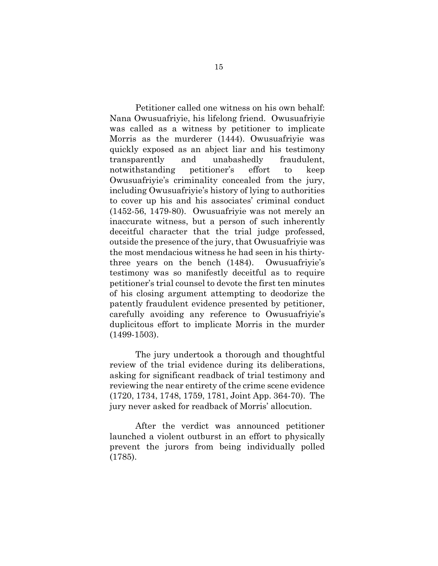Petitioner called one witness on his own behalf: Nana Owusuafriyie, his lifelong friend. Owusuafriyie was called as a witness by petitioner to implicate Morris as the murderer (1444). Owusuafriyie was quickly exposed as an abject liar and his testimony transparently and unabashedly fraudulent, notwithstanding petitioner's effort to keep Owusuafriyie's criminality concealed from the jury, including Owusuafriyie's history of lying to authorities to cover up his and his associates' criminal conduct (1452-56, 1479-80). Owusuafriyie was not merely an inaccurate witness, but a person of such inherently deceitful character that the trial judge professed, outside the presence of the jury, that Owusuafriyie was the most mendacious witness he had seen in his thirtythree years on the bench (1484). Owusuafriyie's testimony was so manifestly deceitful as to require petitioner's trial counsel to devote the first ten minutes of his closing argument attempting to deodorize the patently fraudulent evidence presented by petitioner, carefully avoiding any reference to Owusuafriyie's duplicitous effort to implicate Morris in the murder (1499-1503).

The jury undertook a thorough and thoughtful review of the trial evidence during its deliberations, asking for significant readback of trial testimony and reviewing the near entirety of the crime scene evidence (1720, 1734, 1748, 1759, 1781, Joint App. 364-70). The jury never asked for readback of Morris' allocution.

After the verdict was announced petitioner launched a violent outburst in an effort to physically prevent the jurors from being individually polled (1785).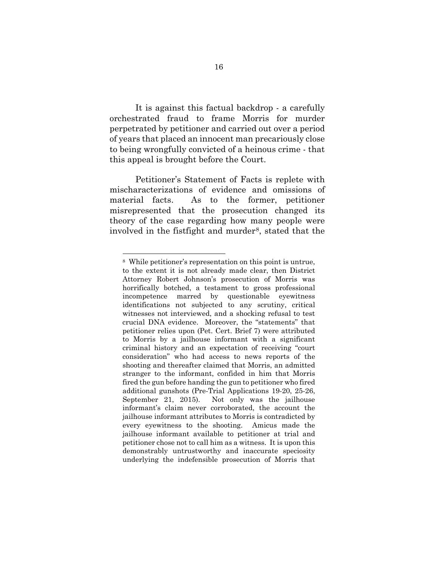It is against this factual backdrop - a carefully orchestrated fraud to frame Morris for murder perpetrated by petitioner and carried out over a period of years that placed an innocent man precariously close to being wrongfully convicted of a heinous crime - that this appeal is brought before the Court.

Petitioner's Statement of Facts is replete with mischaracterizations of evidence and omissions of material facts. As to the former, petitioner misrepresented that the prosecution changed its theory of the case regarding how many people were involved in the fistfight and murder<sup>[8](#page-21-0)</sup>, stated that the

<span id="page-21-0"></span><sup>8</sup> While petitioner's representation on this point is untrue, to the extent it is not already made clear, then District Attorney Robert Johnson's prosecution of Morris was horrifically botched, a testament to gross professional incompetence marred by questionable eyewitness identifications not subjected to any scrutiny, critical witnesses not interviewed, and a shocking refusal to test crucial DNA evidence. Moreover, the "statements" that petitioner relies upon (Pet. Cert. Brief 7) were attributed to Morris by a jailhouse informant with a significant criminal history and an expectation of receiving "court consideration" who had access to news reports of the shooting and thereafter claimed that Morris, an admitted stranger to the informant, confided in him that Morris fired the gun before handing the gun to petitioner who fired additional gunshots (Pre-Trial Applications 19-20, 25-26, September 21, 2015). Not only was the jailhouse informant's claim never corroborated, the account the jailhouse informant attributes to Morris is contradicted by every eyewitness to the shooting. Amicus made the jailhouse informant available to petitioner at trial and petitioner chose not to call him as a witness. It is upon this demonstrably untrustworthy and inaccurate speciosity underlying the indefensible prosecution of Morris that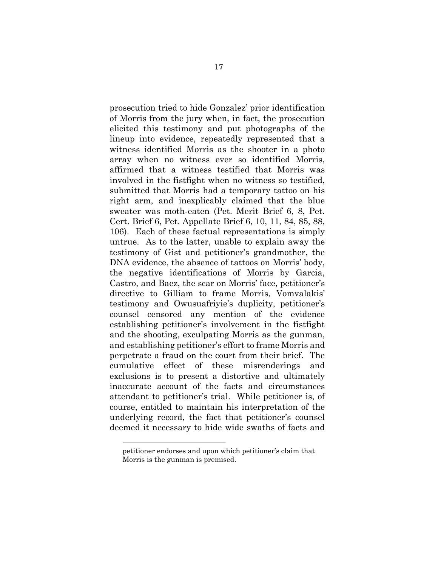prosecution tried to hide Gonzalez' prior identification of Morris from the jury when, in fact, the prosecution elicited this testimony and put photographs of the lineup into evidence, repeatedly represented that a witness identified Morris as the shooter in a photo array when no witness ever so identified Morris, affirmed that a witness testified that Morris was involved in the fistfight when no witness so testified, submitted that Morris had a temporary tattoo on his right arm, and inexplicably claimed that the blue sweater was moth-eaten (Pet. Merit Brief 6, 8, Pet. Cert. Brief 6, Pet. Appellate Brief 6, 10, 11, 84, 85, 88, 106). Each of these factual representations is simply untrue. As to the latter, unable to explain away the testimony of Gist and petitioner's grandmother, the DNA evidence, the absence of tattoos on Morris' body, the negative identifications of Morris by Garcia, Castro, and Baez, the scar on Morris' face, petitioner's directive to Gilliam to frame Morris, Vomvalakis' testimony and Owusuafriyie's duplicity, petitioner's counsel censored any mention of the evidence establishing petitioner's involvement in the fistfight and the shooting, exculpating Morris as the gunman, and establishing petitioner's effort to frame Morris and perpetrate a fraud on the court from their brief. The cumulative effect of these misrenderings and exclusions is to present a distortive and ultimately inaccurate account of the facts and circumstances attendant to petitioner's trial. While petitioner is, of course, entitled to maintain his interpretation of the underlying record, the fact that petitioner's counsel deemed it necessary to hide wide swaths of facts and

petitioner endorses and upon which petitioner's claim that Morris is the gunman is premised.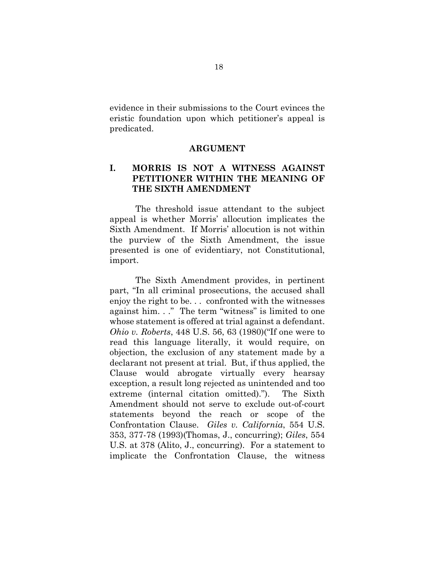<span id="page-23-0"></span>evidence in their submissions to the Court evinces the eristic foundation upon which petitioner's appeal is predicated.

#### **ARGUMENT**

#### <span id="page-23-1"></span>**I. MORRIS IS NOT A WITNESS AGAINST PETITIONER WITHIN THE MEANING OF THE SIXTH AMENDMENT**

The threshold issue attendant to the subject appeal is whether Morris' allocution implicates the Sixth Amendment. If Morris' allocution is not within the purview of the Sixth Amendment, the issue presented is one of evidentiary, not Constitutional, import.

The Sixth Amendment provides, in pertinent part, "In all criminal prosecutions, the accused shall enjoy the right to be. . . confronted with the witnesses against him. . ." The term "witness" is limited to one whose statement is offered at trial against a defendant. *Ohio v. Roberts*, 448 U.S. 56, 63 (1980)("If one were to read this language literally, it would require, on objection, the exclusion of any statement made by a declarant not present at trial. But, if thus applied, the Clause would abrogate virtually every hearsay exception, a result long rejected as unintended and too extreme (internal citation omitted)."). The Sixth Amendment should not serve to exclude out-of-court statements beyond the reach or scope of the Confrontation Clause. *Giles v. California*, 554 U.S. 353, 377-78 (1993)(Thomas, J., concurring); *Giles*, 554 U.S. at 378 (Alito, J., concurring). For a statement to implicate the Confrontation Clause, the witness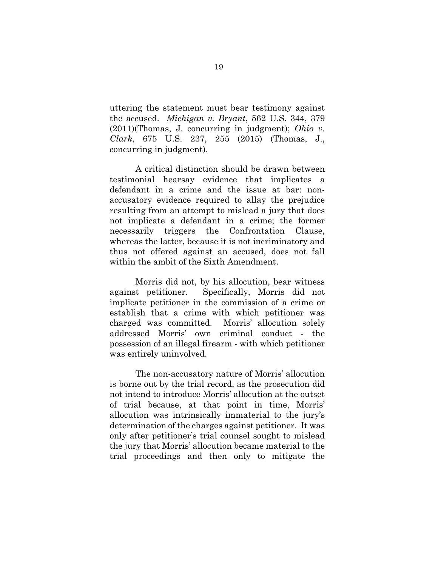uttering the statement must bear testimony against the accused. *Michigan v. Bryant*, 562 U.S. 344, 379 (2011)(Thomas, J. concurring in judgment); *Ohio v. Clark*, 675 U.S. 237, 255 (2015) (Thomas, J., concurring in judgment).

A critical distinction should be drawn between testimonial hearsay evidence that implicates a defendant in a crime and the issue at bar: nonaccusatory evidence required to allay the prejudice resulting from an attempt to mislead a jury that does not implicate a defendant in a crime; the former necessarily triggers the Confrontation Clause, whereas the latter, because it is not incriminatory and thus not offered against an accused, does not fall within the ambit of the Sixth Amendment.

Morris did not, by his allocution, bear witness against petitioner. Specifically, Morris did not implicate petitioner in the commission of a crime or establish that a crime with which petitioner was charged was committed. Morris' allocution solely addressed Morris' own criminal conduct - the possession of an illegal firearm - with which petitioner was entirely uninvolved.

The non-accusatory nature of Morris' allocution is borne out by the trial record, as the prosecution did not intend to introduce Morris' allocution at the outset of trial because, at that point in time, Morris' allocution was intrinsically immaterial to the jury's determination of the charges against petitioner. It was only after petitioner's trial counsel sought to mislead the jury that Morris' allocution became material to the trial proceedings and then only to mitigate the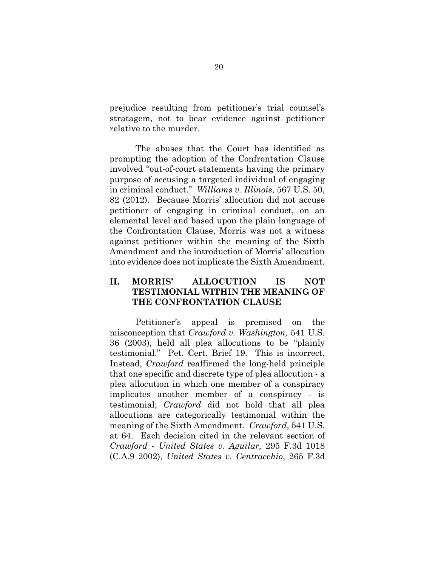prejudice resulting from petitioner's trial counsel's stratagem, not to bear evidence against petitioner relative to the murder.

The abuses that the Court has identified as prompting the adoption of the Confrontation Clause involved "out-of-court statements having the primary purpose of accusing a targeted individual of engaging in criminal conduct." *Williams v. Illinois*, 567 U.S. 50, 82 (2012). Because Morris' allocution did not accuse petitioner of engaging in criminal conduct, on an elemental level and based upon the plain language of the Confrontation Clause, Morris was not a witness against petitioner within the meaning of the Sixth Amendment and the introduction of Morris' allocution into evidence does not implicate the Sixth Amendment.

### <span id="page-25-0"></span>**II. MORRIS' ALLOCUTION IS NOT TESTIMONIAL WITHIN THE MEANING OF THE CONFRONTATION CLAUSE**

Petitioner's appeal is premised on the misconception that *Crawford v. Washington,* 541 U.S. 36 (2003), held all plea allocutions to be "plainly testimonial." Pet. Cert. Brief 19. This is incorrect. Instead, *Crawford* reaffirmed the long-held principle that one specific and discrete type of plea allocution - a plea allocution in which one member of a conspiracy implicates another member of a conspiracy - is testimonial; *Crawford* did not hold that all plea allocutions are categorically testimonial within the meaning of the Sixth Amendment. *Crawford*, 541 U.S. at 64. Each decision cited in the relevant section of *Crawford* - *United States v. Aguilar,* 295 F.3d 1018 (C.A.9 2002), *United States v. Centracchio*, 265 F.3d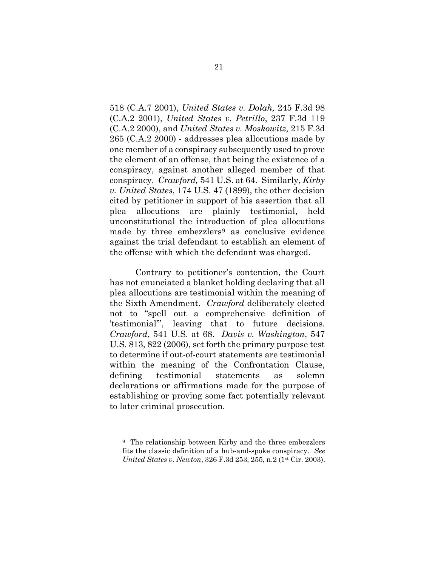518 (C.A.7 2001), *United States v. Dolah,* 245 F.3d 98 (C.A.2 2001), *United States v. Petrillo*, 237 F.3d 119 (C.A.2 2000), and *United States v. Moskowitz,* 215 F.3d 265 (C.A.2 2000) - addresses plea allocutions made by one member of a conspiracy subsequently used to prove the element of an offense, that being the existence of a conspiracy, against another alleged member of that conspiracy. *Crawford,* 541 U.S. at 64. Similarly, *Kirby v. United States*, 174 U.S. 47 (1899), the other decision cited by petitioner in support of his assertion that all plea allocutions are plainly testimonial, held unconstitutional the introduction of plea allocutions made by three embezzlers<sup>[9](#page-26-0)</sup> as conclusive evidence against the trial defendant to establish an element of the offense with which the defendant was charged.

Contrary to petitioner's contention, the Court has not enunciated a blanket holding declaring that all plea allocutions are testimonial within the meaning of the Sixth Amendment. *Crawford* deliberately elected not to "spell out a comprehensive definition of 'testimonial'", leaving that to future decisions. *Crawford*, 541 U.S. at 68. *Davis v. Washington*, 547 U.S. 813, 822 (2006), set forth the primary purpose test to determine if out-of-court statements are testimonial within the meaning of the Confrontation Clause, defining testimonial statements as solemn declarations or affirmations made for the purpose of establishing or proving some fact potentially relevant to later criminal prosecution.

<span id="page-26-0"></span><sup>9</sup> The relationship between Kirby and the three embezzlers fits the classic definition of a hub-and-spoke conspiracy. *See United States v. Newton*, 326 F.3d 253, 255, n.2 (1<sup>st</sup> Cir. 2003).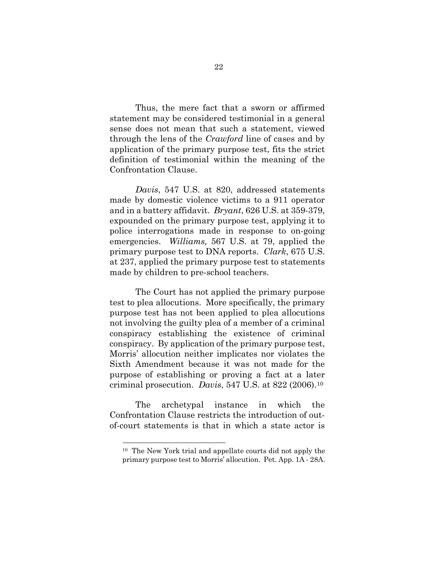Thus, the mere fact that a sworn or affirmed statement may be considered testimonial in a general sense does not mean that such a statement, viewed through the lens of the *Crawford* line of cases and by application of the primary purpose test, fits the strict definition of testimonial within the meaning of the Confrontation Clause.

*Davis*, 547 U.S. at 820, addressed statements made by domestic violence victims to a 911 operator and in a battery affidavit. *Bryant*, 626 U.S. at 359-379, expounded on the primary purpose test, applying it to police interrogations made in response to on-going emergencies. *Williams,* 567 U.S. at 79, applied the primary purpose test to DNA reports. *Clark*, 675 U.S. at 237, applied the primary purpose test to statements made by children to pre-school teachers.

The Court has not applied the primary purpose test to plea allocutions. More specifically, the primary purpose test has not been applied to plea allocutions not involving the guilty plea of a member of a criminal conspiracy establishing the existence of criminal conspiracy. By application of the primary purpose test, Morris' allocution neither implicates nor violates the Sixth Amendment because it was not made for the purpose of establishing or proving a fact at a later criminal prosecution. *Davis*, 547 U.S. at 822 (2006).[10](#page-27-0)

<span id="page-27-0"></span>The archetypal instance in which the Confrontation Clause restricts the introduction of outof-court statements is that in which a state actor is

<sup>10</sup> The New York trial and appellate courts did not apply the primary purpose test to Morris' allocution. Pet. App. 1A - 28A.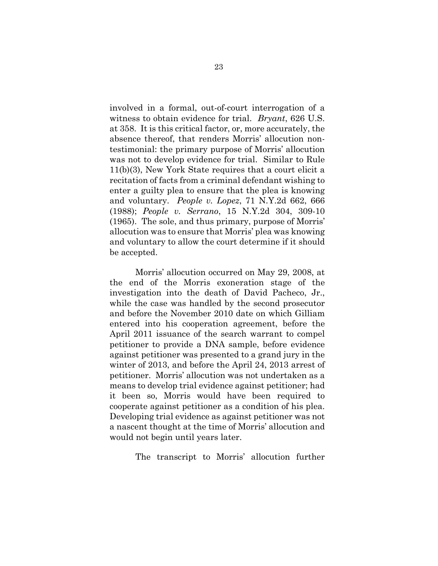involved in a formal, out-of-court interrogation of a witness to obtain evidence for trial. *Bryant*, 626 U.S. at 358. It is this critical factor, or, more accurately, the absence thereof, that renders Morris' allocution nontestimonial: the primary purpose of Morris' allocution was not to develop evidence for trial. Similar to Rule 11(b)(3), New York State requires that a court elicit a recitation of facts from a criminal defendant wishing to enter a guilty plea to ensure that the plea is knowing and voluntary. *People v. Lopez*, 71 N.Y.2d 662, 666 (1988); *People v. Serrano*, 15 N.Y.2d 304, 309-10 (1965). The sole, and thus primary, purpose of Morris' allocution was to ensure that Morris' plea was knowing and voluntary to allow the court determine if it should be accepted.

Morris' allocution occurred on May 29, 2008, at the end of the Morris exoneration stage of the investigation into the death of David Pacheco, Jr., while the case was handled by the second prosecutor and before the November 2010 date on which Gilliam entered into his cooperation agreement, before the April 2011 issuance of the search warrant to compel petitioner to provide a DNA sample, before evidence against petitioner was presented to a grand jury in the winter of 2013, and before the April 24, 2013 arrest of petitioner. Morris' allocution was not undertaken as a means to develop trial evidence against petitioner; had it been so, Morris would have been required to cooperate against petitioner as a condition of his plea. Developing trial evidence as against petitioner was not a nascent thought at the time of Morris' allocution and would not begin until years later.

The transcript to Morris' allocution further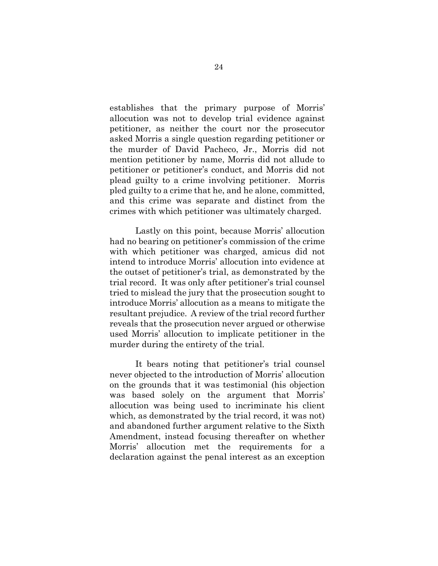establishes that the primary purpose of Morris' allocution was not to develop trial evidence against petitioner, as neither the court nor the prosecutor asked Morris a single question regarding petitioner or the murder of David Pacheco, Jr., Morris did not mention petitioner by name, Morris did not allude to petitioner or petitioner's conduct, and Morris did not plead guilty to a crime involving petitioner. Morris pled guilty to a crime that he, and he alone, committed, and this crime was separate and distinct from the crimes with which petitioner was ultimately charged.

Lastly on this point, because Morris' allocution had no bearing on petitioner's commission of the crime with which petitioner was charged, amicus did not intend to introduce Morris' allocution into evidence at the outset of petitioner's trial, as demonstrated by the trial record. It was only after petitioner's trial counsel tried to mislead the jury that the prosecution sought to introduce Morris' allocution as a means to mitigate the resultant prejudice. A review of the trial record further reveals that the prosecution never argued or otherwise used Morris' allocution to implicate petitioner in the murder during the entirety of the trial.

It bears noting that petitioner's trial counsel never objected to the introduction of Morris' allocution on the grounds that it was testimonial (his objection was based solely on the argument that Morris' allocution was being used to incriminate his client which, as demonstrated by the trial record, it was not) and abandoned further argument relative to the Sixth Amendment, instead focusing thereafter on whether Morris' allocution met the requirements for a declaration against the penal interest as an exception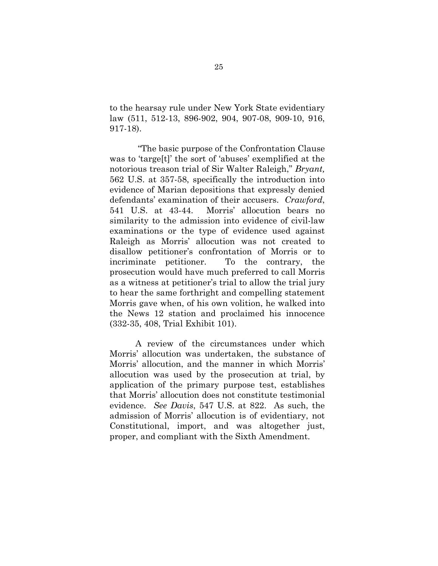to the hearsay rule under New York State evidentiary law (511, 512-13, 896-902, 904, 907-08, 909-10, 916, 917-18).

"The basic purpose of the Confrontation Clause was to 'targe[t]' the sort of 'abuses' exemplified at the notorious treason trial of Sir Walter Raleigh," *Bryant,*  562 U.S. at 357-58, specifically the introduction into evidence of Marian depositions that expressly denied defendants' examination of their accusers. *Crawford*, 541 U.S. at 43-44. Morris' allocution bears no similarity to the admission into evidence of civil-law examinations or the type of evidence used against Raleigh as Morris' allocution was not created to disallow petitioner's confrontation of Morris or to incriminate petitioner. To the contrary, the prosecution would have much preferred to call Morris as a witness at petitioner's trial to allow the trial jury to hear the same forthright and compelling statement Morris gave when, of his own volition, he walked into the News 12 station and proclaimed his innocence (332-35, 408, Trial Exhibit 101).

A review of the circumstances under which Morris' allocution was undertaken, the substance of Morris' allocution, and the manner in which Morris' allocution was used by the prosecution at trial, by application of the primary purpose test, establishes that Morris' allocution does not constitute testimonial evidence. *See Davis*, 547 U.S. at 822. As such, the admission of Morris' allocution is of evidentiary, not Constitutional, import, and was altogether just, proper, and compliant with the Sixth Amendment.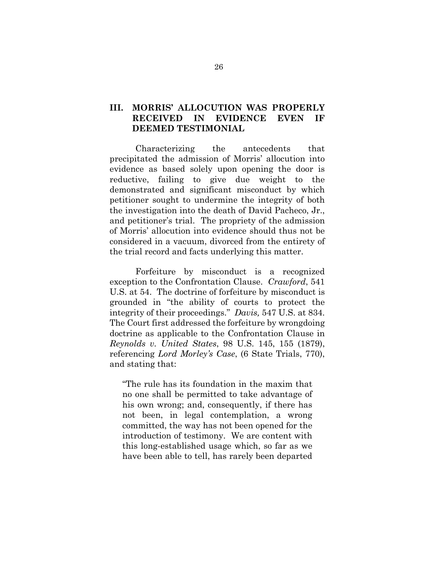### <span id="page-31-0"></span>**III. MORRIS' ALLOCUTION WAS PROPERLY RECEIVED IN EVIDENCE EVEN IF DEEMED TESTIMONIAL**

Characterizing the antecedents that precipitated the admission of Morris' allocution into evidence as based solely upon opening the door is reductive, failing to give due weight to the demonstrated and significant misconduct by which petitioner sought to undermine the integrity of both the investigation into the death of David Pacheco, Jr., and petitioner's trial. The propriety of the admission of Morris' allocution into evidence should thus not be considered in a vacuum, divorced from the entirety of the trial record and facts underlying this matter.

Forfeiture by misconduct is a recognized exception to the Confrontation Clause. *Crawford*, 541 U.S. at 54. The doctrine of forfeiture by misconduct is grounded in "the ability of courts to protect the integrity of their proceedings." *Davis,* 547 U.S. at 834. The Court first addressed the forfeiture by wrongdoing doctrine as applicable to the Confrontation Clause in *Reynolds v. United States*, 98 U.S. 145, 155 (1879), referencing *Lord Morley's Case*, (6 State Trials, 770), and stating that:

"The rule has its foundation in the maxim that no one shall be permitted to take advantage of his own wrong; and, consequently, if there has not been, in legal contemplation, a wrong committed, the way has not been opened for the introduction of testimony. We are content with this long-established usage which, so far as we have been able to tell, has rarely been departed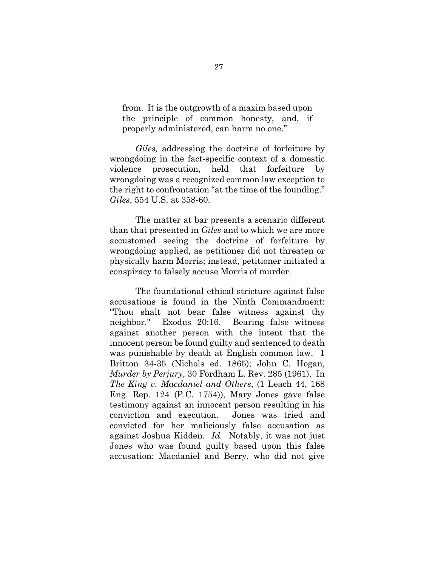from. It is the outgrowth of a maxim based upon the principle of common honesty, and, if properly administered, can harm no one."

*Giles,* addressing the doctrine of forfeiture by wrongdoing in the fact-specific context of a domestic violence prosecution, held that forfeiture by wrongdoing was a recognized common law exception to the right to confrontation "at the time of the founding." *Giles*, 554 U.S. at 358-60.

The matter at bar presents a scenario different than that presented in *Giles* and to which we are more accustomed seeing the doctrine of forfeiture by wrongdoing applied, as petitioner did not threaten or physically harm Morris; instead, petitioner initiated a conspiracy to falsely accuse Morris of murder.

The foundational ethical stricture against false accusations is found in the Ninth Commandment: "Thou shalt not bear false witness against thy neighbor." Exodus 20:16. Bearing false witness against another person with the intent that the innocent person be found guilty and sentenced to death was punishable by death at English common law. 1 Britton 34-35 (Nichols ed. 1865); John C. Hogan, *Murder by Perjury*, 30 Fordham L. Rev. 285 (1961). In *The King v. Macdaniel and Others*, (1 Leach 44, 168 Eng. Rep. 124 (P.C. 1754)), Mary Jones gave false testimony against an innocent person resulting in his conviction and execution. Jones was tried and convicted for her maliciously false accusation as against Joshua Kidden. *Id.* Notably, it was not just Jones who was found guilty based upon this false accusation; Macdaniel and Berry, who did not give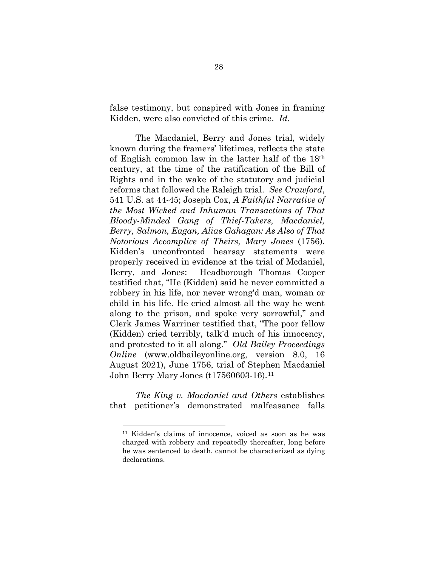false testimony, but conspired with Jones in framing Kidden, were also convicted of this crime. *Id*.

The Macdaniel, Berry and Jones trial, widely known during the framers' lifetimes, reflects the state of English common law in the latter half of the 18th century, at the time of the ratification of the Bill of Rights and in the wake of the statutory and judicial reforms that followed the Raleigh trial. *See Crawford*, 541 U.S. at 44-45; Joseph Cox, *A Faithful Narrative of the Most Wicked and Inhuman Transactions of That Bloody-Minded Gang of Thief-Takers, Macdaniel, Berry, Salmon, Eagan, Alias Gahagan: As Also of That Notorious Accomplice of Theirs, Mary Jones* (1756). Kidden's unconfronted hearsay statements were properly received in evidence at the trial of Mcdaniel, Berry, and Jones: Headborough Thomas Cooper testified that, "He (Kidden) said he never committed a robbery in his life, nor never wrong'd man, woman or child in his life. He cried almost all the way he went along to the prison, and spoke very sorrowful," and Clerk James Warriner testified that, "The poor fellow (Kidden) cried terribly, talk'd much of his innocency, and protested to it all along." *Old Bailey Proceedings Online* (www.oldbaileyonline.org, version 8.0, 16 August 2021), June 1756, trial of Stephen Macdaniel John Berry Mary Jones (t17560603-16).[11](#page-33-0)

<span id="page-33-0"></span>*The King v. Macdaniel and Others* establishes that petitioner's demonstrated malfeasance falls

<sup>11</sup> Kidden's claims of innocence, voiced as soon as he was charged with robbery and repeatedly thereafter, long before he was sentenced to death, cannot be characterized as dying declarations.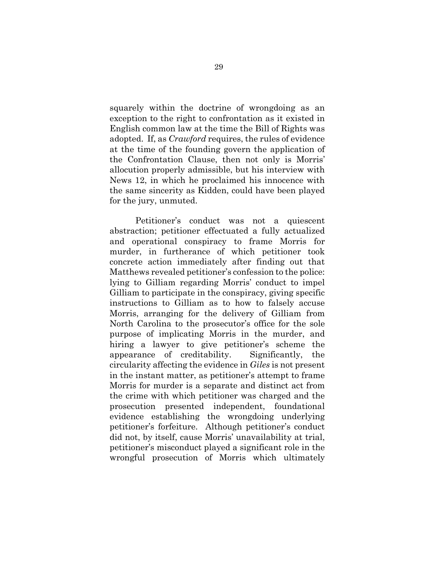squarely within the doctrine of wrongdoing as an exception to the right to confrontation as it existed in English common law at the time the Bill of Rights was adopted. If, as *Crawford* requires, the rules of evidence at the time of the founding govern the application of the Confrontation Clause, then not only is Morris' allocution properly admissible, but his interview with News 12, in which he proclaimed his innocence with the same sincerity as Kidden, could have been played for the jury, unmuted.

Petitioner's conduct was not a quiescent abstraction; petitioner effectuated a fully actualized and operational conspiracy to frame Morris for murder, in furtherance of which petitioner took concrete action immediately after finding out that Matthews revealed petitioner's confession to the police: lying to Gilliam regarding Morris' conduct to impel Gilliam to participate in the conspiracy, giving specific instructions to Gilliam as to how to falsely accuse Morris, arranging for the delivery of Gilliam from North Carolina to the prosecutor's office for the sole purpose of implicating Morris in the murder, and hiring a lawyer to give petitioner's scheme the appearance of creditability. Significantly, the circularity affecting the evidence in *Giles* is not present in the instant matter, as petitioner's attempt to frame Morris for murder is a separate and distinct act from the crime with which petitioner was charged and the prosecution presented independent, foundational evidence establishing the wrongdoing underlying petitioner's forfeiture. Although petitioner's conduct did not, by itself, cause Morris' unavailability at trial, petitioner's misconduct played a significant role in the wrongful prosecution of Morris which ultimately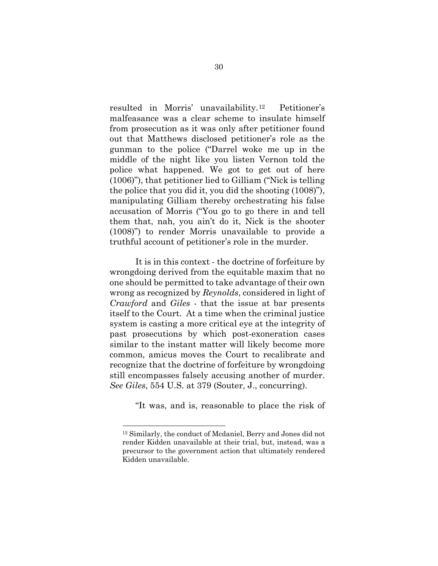resulted in Morris' unavailability.[12](#page-35-0) Petitioner's malfeasance was a clear scheme to insulate himself from prosecution as it was only after petitioner found out that Matthews disclosed petitioner's role as the gunman to the police ("Darrel woke me up in the middle of the night like you listen Vernon told the police what happened. We got to get out of here (1006)"), that petitioner lied to Gilliam ("Nick is telling the police that you did it, you did the shooting (1008)"), manipulating Gilliam thereby orchestrating his false accusation of Morris ("You go to go there in and tell them that, nah, you ain't do it, Nick is the shooter (1008)") to render Morris unavailable to provide a truthful account of petitioner's role in the murder.

It is in this context - the doctrine of forfeiture by wrongdoing derived from the equitable maxim that no one should be permitted to take advantage of their own wrong as recognized by *Reynolds*, considered in light of *Crawford* and *Giles* - that the issue at bar presents itself to the Court. At a time when the criminal justice system is casting a more critical eye at the integrity of past prosecutions by which post-exoneration cases similar to the instant matter will likely become more common, amicus moves the Court to recalibrate and recognize that the doctrine of forfeiture by wrongdoing still encompasses falsely accusing another of murder. *See Giles*, 554 U.S. at 379 (Souter, J., concurring).

"It was, and is, reasonable to place the risk of

<span id="page-35-0"></span><sup>12</sup> Similarly, the conduct of Mcdaniel, Berry and Jones did not render Kidden unavailable at their trial, but, instead, was a precursor to the government action that ultimately rendered Kidden unavailable.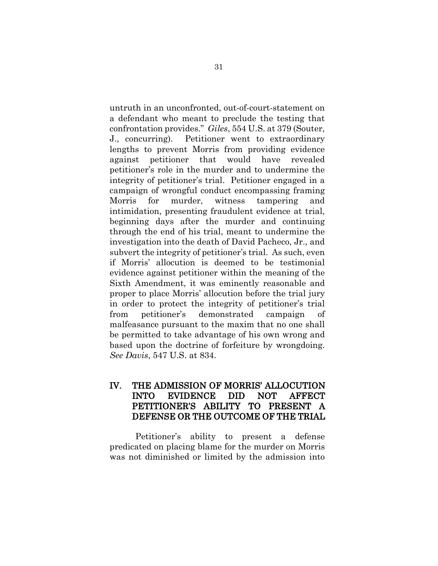untruth in an unconfronted, out-of-court-statement on a defendant who meant to preclude the testing that confrontation provides." *Giles*, 554 U.S. at 379 (Souter, J., concurring). Petitioner went to extraordinary lengths to prevent Morris from providing evidence against petitioner that would have revealed petitioner's role in the murder and to undermine the integrity of petitioner's trial. Petitioner engaged in a campaign of wrongful conduct encompassing framing Morris for murder, witness tampering and intimidation, presenting fraudulent evidence at trial, beginning days after the murder and continuing through the end of his trial, meant to undermine the investigation into the death of David Pacheco, Jr., and subvert the integrity of petitioner's trial. As such, even if Morris' allocution is deemed to be testimonial evidence against petitioner within the meaning of the Sixth Amendment, it was eminently reasonable and proper to place Morris' allocution before the trial jury in order to protect the integrity of petitioner's trial from petitioner's demonstrated campaign of malfeasance pursuant to the maxim that no one shall be permitted to take advantage of his own wrong and based upon the doctrine of forfeiture by wrongdoing. *See Davis*, 547 U.S. at 834.

### <span id="page-36-0"></span>IV. THE ADMISSION OF MORRIS' ALLOCUTION INTO EVIDENCE DID NOT AFFECT PETITIONER'S ABILITY TO PRESENT A DEFENSE OR THE OUTCOME OF THE TRIAL

Petitioner's ability to present a defense predicated on placing blame for the murder on Morris was not diminished or limited by the admission into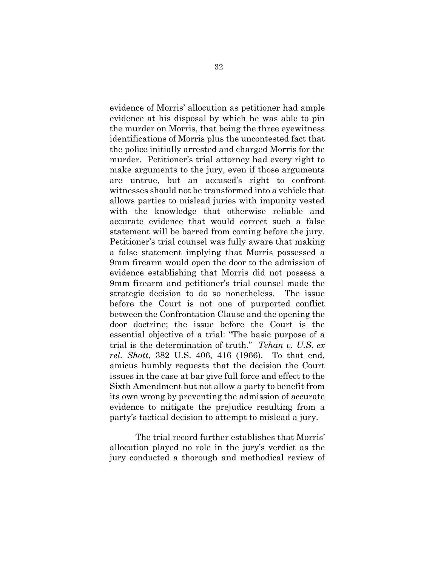evidence of Morris' allocution as petitioner had ample evidence at his disposal by which he was able to pin the murder on Morris, that being the three eyewitness identifications of Morris plus the uncontested fact that the police initially arrested and charged Morris for the murder. Petitioner's trial attorney had every right to make arguments to the jury, even if those arguments are untrue, but an accused's right to confront witnesses should not be transformed into a vehicle that allows parties to mislead juries with impunity vested with the knowledge that otherwise reliable and accurate evidence that would correct such a false statement will be barred from coming before the jury. Petitioner's trial counsel was fully aware that making a false statement implying that Morris possessed a 9mm firearm would open the door to the admission of evidence establishing that Morris did not possess a 9mm firearm and petitioner's trial counsel made the strategic decision to do so nonetheless. The issue before the Court is not one of purported conflict between the Confrontation Clause and the opening the door doctrine; the issue before the Court is the essential objective of a trial: "The basic purpose of a trial is the determination of truth." *Tehan v. U.S. ex rel. Shott*, 382 U.S. 406, 416 (1966). To that end, amicus humbly requests that the decision the Court issues in the case at bar give full force and effect to the Sixth Amendment but not allow a party to benefit from its own wrong by preventing the admission of accurate evidence to mitigate the prejudice resulting from a party's tactical decision to attempt to mislead a jury.

The trial record further establishes that Morris' allocution played no role in the jury's verdict as the jury conducted a thorough and methodical review of